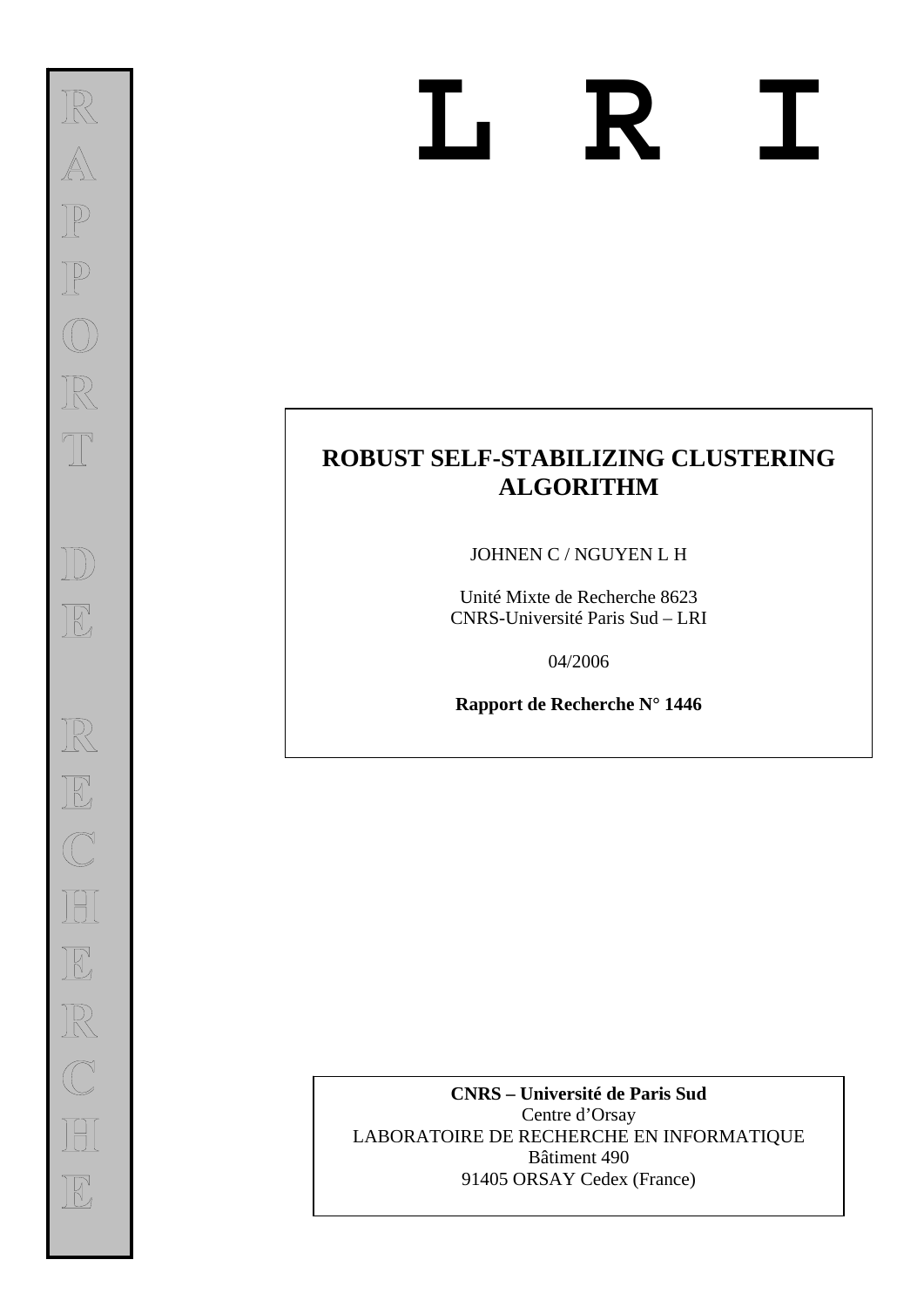# **L R I**

# **ROBUST SELF-STABILIZING CLUSTERING ALGORITHM**

JOHNEN C / NGUYEN L H

Unité Mixte de Recherche 8623 CNRS-Université Paris Sud – LRI

04/2006

**Rapport de Recherche N° 1446** 

**CNRS – Université de Paris Sud**  Centre d'Orsay LABORATOIRE DE RECHERCHE EN INFORMATIQUE Bâtiment 490 91405 ORSAY Cedex (France)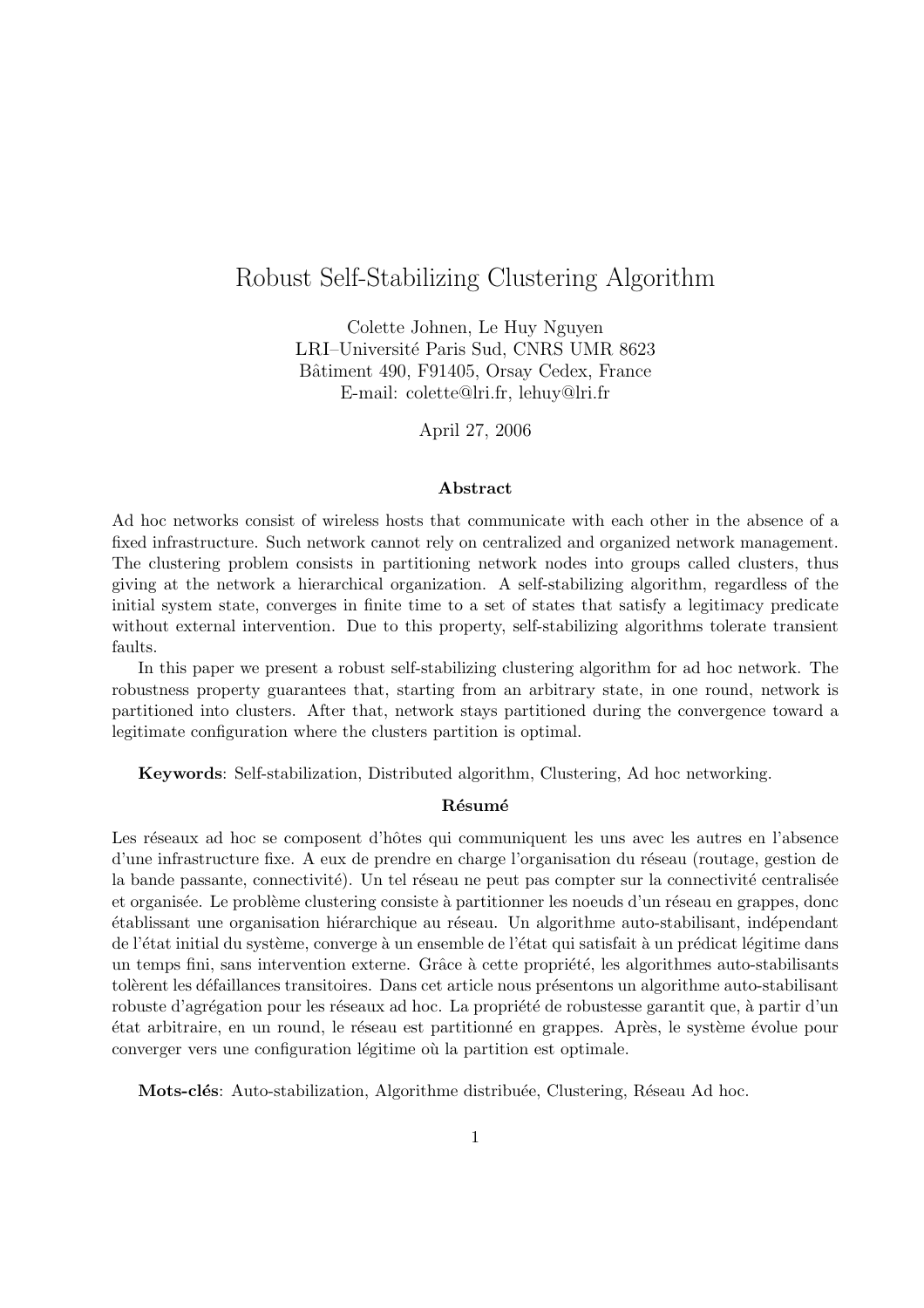# Robust Self-Stabilizing Clustering Algorithm

Colette Johnen, Le Huy Nguyen LRI-Université Paris Sud, CNRS UMR 8623 Bâtiment 490, F91405, Orsay Cedex, France E-mail: colette@lri.fr, lehuy@lri.fr

April 27, 2006

#### Abstract

Ad hoc networks consist of wireless hosts that communicate with each other in the absence of a fixed infrastructure. Such network cannot rely on centralized and organized network management. The clustering problem consists in partitioning network nodes into groups called clusters, thus giving at the network a hierarchical organization. A self-stabilizing algorithm, regardless of the initial system state, converges in finite time to a set of states that satisfy a legitimacy predicate without external intervention. Due to this property, self-stabilizing algorithms tolerate transient faults.

In this paper we present a robust self-stabilizing clustering algorithm for ad hoc network. The robustness property guarantees that, starting from an arbitrary state, in one round, network is partitioned into clusters. After that, network stays partitioned during the convergence toward a legitimate configuration where the clusters partition is optimal.

Keywords: Self-stabilization, Distributed algorithm, Clustering, Ad hoc networking.

#### Résumé

Les réseaux ad hoc se composent d'hôtes qui communiquent les uns avec les autres en l'absence d'une infrastructure fixe. A eux de prendre en charge l'organisation du réseau (routage, gestion de la bande passante, connectivité). Un tel réseau ne peut pas compter sur la connectivité centralisée et organisée. Le problème clustering consiste à partitionner les noeuds d'un réseau en grappes, donc  $\acute{e}$ tablissant une organisation hiérarchique au réseau. Un algorithme auto-stabilisant, indépendant de l'état initial du système, converge à un ensemble de l'état qui satisfait à un prédicat légitime dans un temps fini, sans intervention externe. Grâce à cette propriété, les algorithmes auto-stabilisants tolèrent les défaillances transitoires. Dans cet article nous présentons un algorithme auto-stabilisant robuste d'agrégation pour les réseaux ad hoc. La propriété de robustesse garantit que, à partir d'un ´etat arbitraire, en un round, le r´eseau est partitionn´e en grappes. Apr`es, le syst`eme ´evolue pour converger vers une configuration légitime où la partition est optimale.

Mots-clés: Auto-stabilization, Algorithme distribuée, Clustering, Réseau Ad hoc.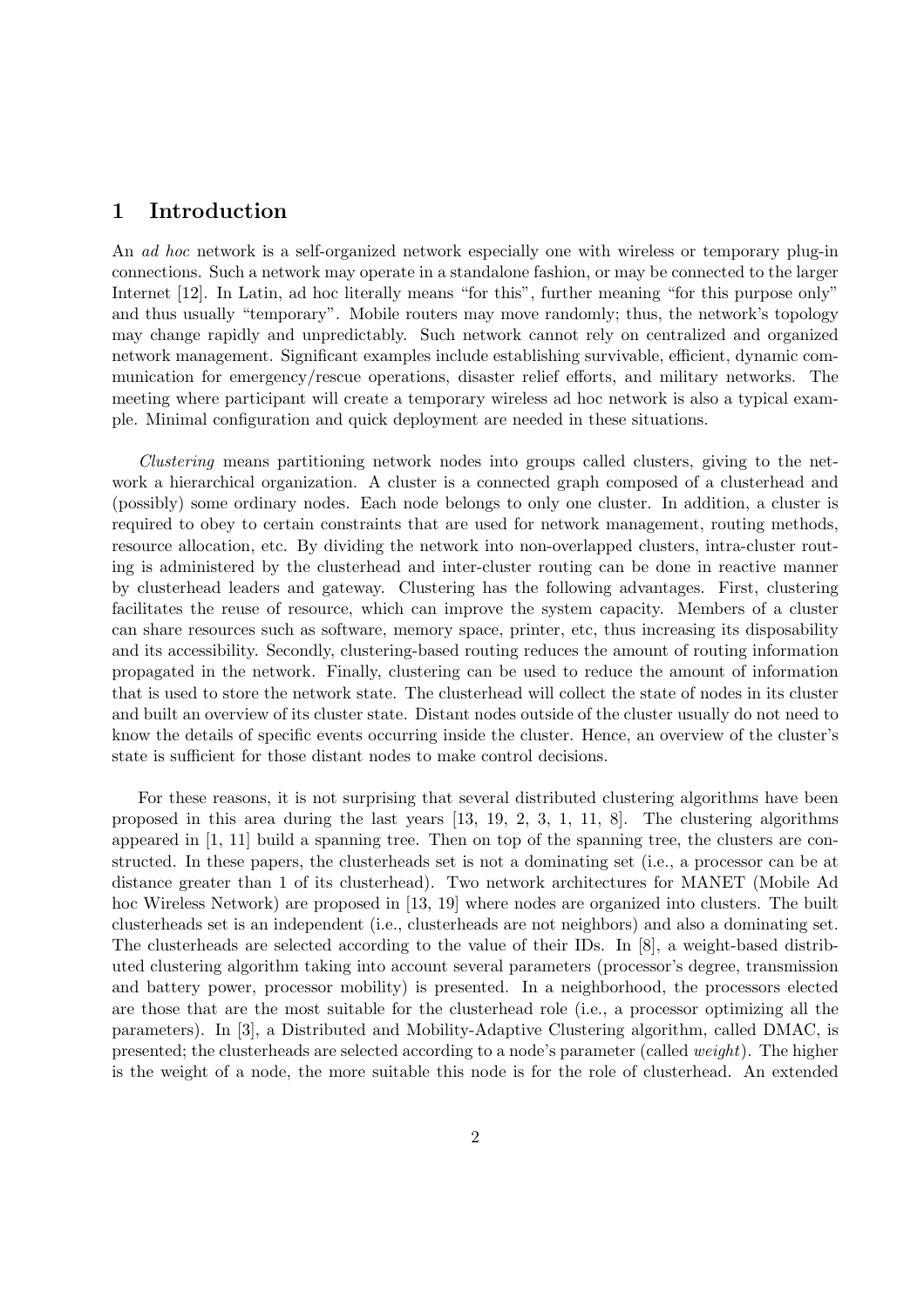## 1 Introduction

An ad hoc network is a self-organized network especially one with wireless or temporary plug-in connections. Such a network may operate in a standalone fashion, or may be connected to the larger Internet [12]. In Latin, ad hoc literally means "for this", further meaning "for this purpose only" and thus usually "temporary". Mobile routers may move randomly; thus, the network's topology may change rapidly and unpredictably. Such network cannot rely on centralized and organized network management. Significant examples include establishing survivable, efficient, dynamic communication for emergency/rescue operations, disaster relief efforts, and military networks. The meeting where participant will create a temporary wireless ad hoc network is also a typical example. Minimal configuration and quick deployment are needed in these situations.

Clustering means partitioning network nodes into groups called clusters, giving to the network a hierarchical organization. A cluster is a connected graph composed of a clusterhead and (possibly) some ordinary nodes. Each node belongs to only one cluster. In addition, a cluster is required to obey to certain constraints that are used for network management, routing methods, resource allocation, etc. By dividing the network into non-overlapped clusters, intra-cluster routing is administered by the clusterhead and inter-cluster routing can be done in reactive manner by clusterhead leaders and gateway. Clustering has the following advantages. First, clustering facilitates the reuse of resource, which can improve the system capacity. Members of a cluster can share resources such as software, memory space, printer, etc, thus increasing its disposability and its accessibility. Secondly, clustering-based routing reduces the amount of routing information propagated in the network. Finally, clustering can be used to reduce the amount of information that is used to store the network state. The clusterhead will collect the state of nodes in its cluster and built an overview of its cluster state. Distant nodes outside of the cluster usually do not need to know the details of specific events occurring inside the cluster. Hence, an overview of the cluster's state is sufficient for those distant nodes to make control decisions.

For these reasons, it is not surprising that several distributed clustering algorithms have been proposed in this area during the last years [13, 19, 2, 3, 1, 11, 8]. The clustering algorithms appeared in [1, 11] build a spanning tree. Then on top of the spanning tree, the clusters are constructed. In these papers, the clusterheads set is not a dominating set (i.e., a processor can be at distance greater than 1 of its clusterhead). Two network architectures for MANET (Mobile Ad hoc Wireless Network) are proposed in [13, 19] where nodes are organized into clusters. The built clusterheads set is an independent (i.e., clusterheads are not neighbors) and also a dominating set. The clusterheads are selected according to the value of their IDs. In [8], a weight-based distributed clustering algorithm taking into account several parameters (processor's degree, transmission and battery power, processor mobility) is presented. In a neighborhood, the processors elected are those that are the most suitable for the clusterhead role (i.e., a processor optimizing all the parameters). In [3], a Distributed and Mobility-Adaptive Clustering algorithm, called DMAC, is presented; the clusterheads are selected according to a node's parameter (called weight). The higher is the weight of a node, the more suitable this node is for the role of clusterhead. An extended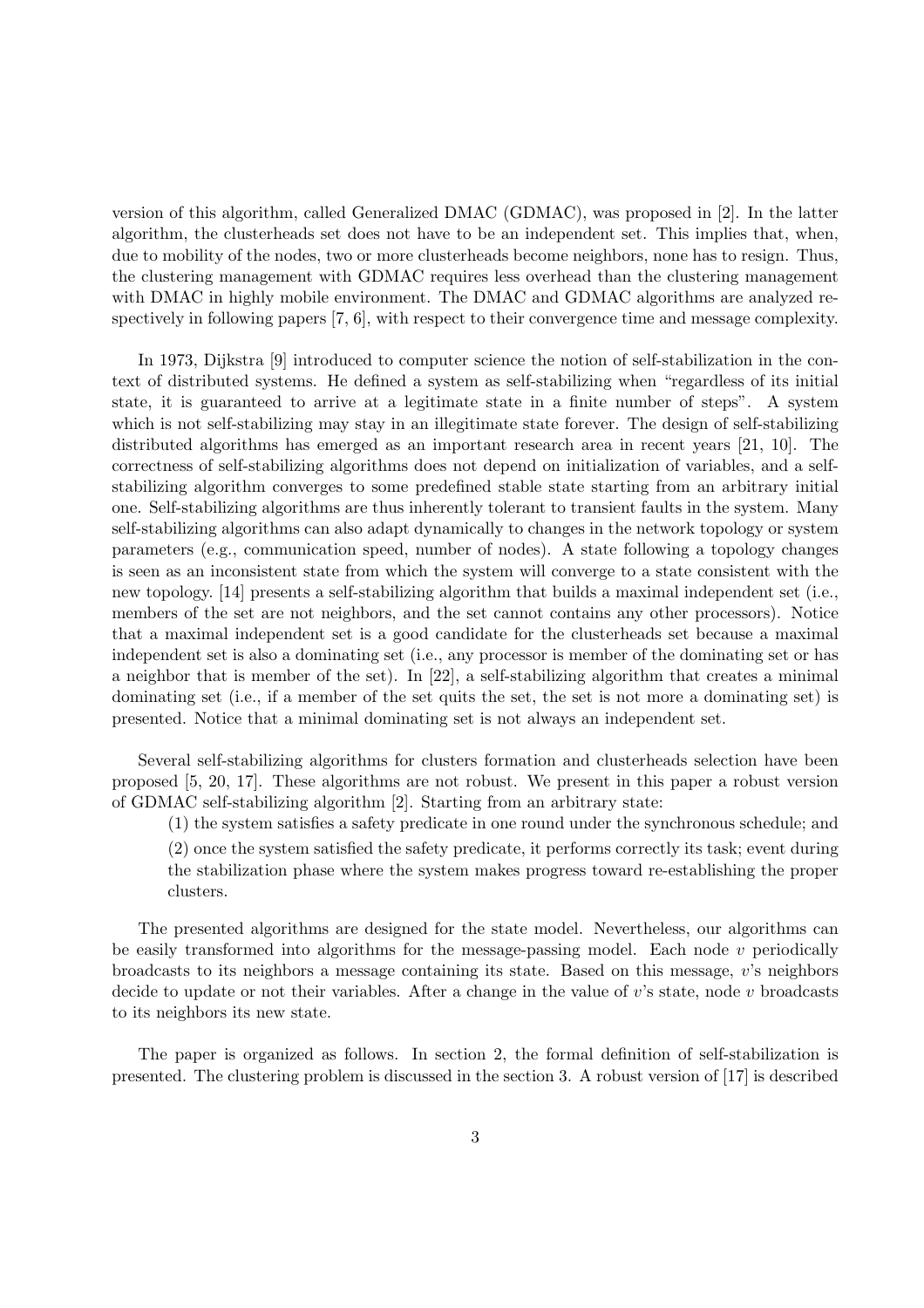version of this algorithm, called Generalized DMAC (GDMAC), was proposed in [2]. In the latter algorithm, the clusterheads set does not have to be an independent set. This implies that, when, due to mobility of the nodes, two or more clusterheads become neighbors, none has to resign. Thus, the clustering management with GDMAC requires less overhead than the clustering management with DMAC in highly mobile environment. The DMAC and GDMAC algorithms are analyzed respectively in following papers [7, 6], with respect to their convergence time and message complexity.

In 1973, Dijkstra [9] introduced to computer science the notion of self-stabilization in the context of distributed systems. He defined a system as self-stabilizing when "regardless of its initial state, it is guaranteed to arrive at a legitimate state in a finite number of steps". A system which is not self-stabilizing may stay in an illegitimate state forever. The design of self-stabilizing distributed algorithms has emerged as an important research area in recent years [21, 10]. The correctness of self-stabilizing algorithms does not depend on initialization of variables, and a selfstabilizing algorithm converges to some predefined stable state starting from an arbitrary initial one. Self-stabilizing algorithms are thus inherently tolerant to transient faults in the system. Many self-stabilizing algorithms can also adapt dynamically to changes in the network topology or system parameters (e.g., communication speed, number of nodes). A state following a topology changes is seen as an inconsistent state from which the system will converge to a state consistent with the new topology. [14] presents a self-stabilizing algorithm that builds a maximal independent set (i.e., members of the set are not neighbors, and the set cannot contains any other processors). Notice that a maximal independent set is a good candidate for the clusterheads set because a maximal independent set is also a dominating set (i.e., any processor is member of the dominating set or has a neighbor that is member of the set). In [22], a self-stabilizing algorithm that creates a minimal dominating set (i.e., if a member of the set quits the set, the set is not more a dominating set) is presented. Notice that a minimal dominating set is not always an independent set.

Several self-stabilizing algorithms for clusters formation and clusterheads selection have been proposed [5, 20, 17]. These algorithms are not robust. We present in this paper a robust version of GDMAC self-stabilizing algorithm [2]. Starting from an arbitrary state:

(1) the system satisfies a safety predicate in one round under the synchronous schedule; and

(2) once the system satisfied the safety predicate, it performs correctly its task; event during the stabilization phase where the system makes progress toward re-establishing the proper clusters.

The presented algorithms are designed for the state model. Nevertheless, our algorithms can be easily transformed into algorithms for the message-passing model. Each node v periodically broadcasts to its neighbors a message containing its state. Based on this message, v's neighbors decide to update or not their variables. After a change in the value of  $v$ 's state, node v broadcasts to its neighbors its new state.

The paper is organized as follows. In section 2, the formal definition of self-stabilization is presented. The clustering problem is discussed in the section 3. A robust version of [17] is described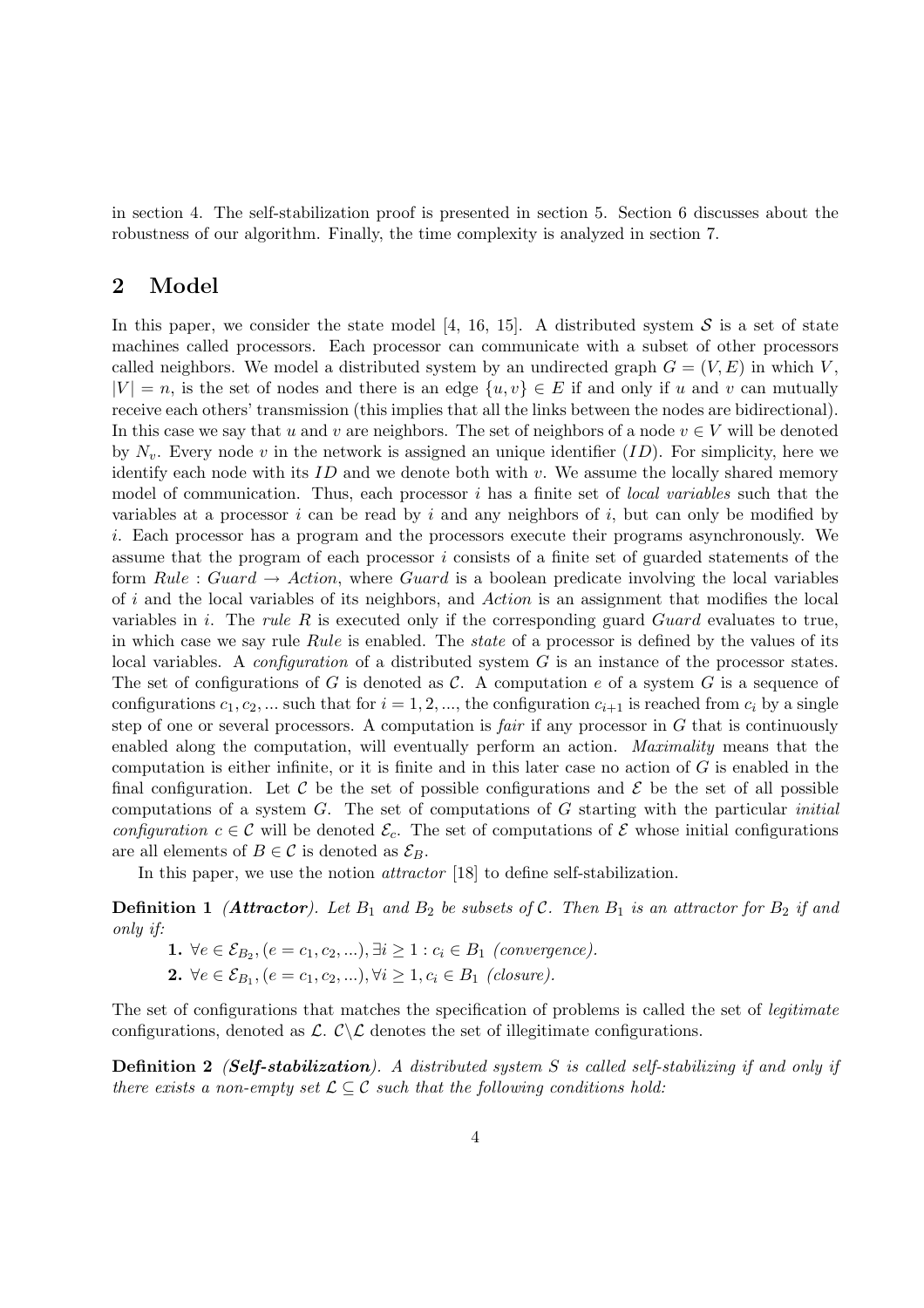in section 4. The self-stabilization proof is presented in section 5. Section 6 discusses about the robustness of our algorithm. Finally, the time complexity is analyzed in section 7.

### 2 Model

In this paper, we consider the state model [4, 16, 15]. A distributed system  $S$  is a set of state machines called processors. Each processor can communicate with a subset of other processors called neighbors. We model a distributed system by an undirected graph  $G = (V, E)$  in which V,  $|V| = n$ , is the set of nodes and there is an edge  $\{u, v\} \in E$  if and only if u and v can mutually receive each others' transmission (this implies that all the links between the nodes are bidirectional). In this case we say that u and v are neighbors. The set of neighbors of a node  $v \in V$  will be denoted by  $N_v$ . Every node v in the network is assigned an unique identifier  $(ID)$ . For simplicity, here we identify each node with its  $ID$  and we denote both with  $v$ . We assume the locally shared memory model of communication. Thus, each processor  $i$  has a finite set of *local variables* such that the variables at a processor i can be read by i and any neighbors of i, but can only be modified by i. Each processor has a program and the processors execute their programs asynchronously. We assume that the program of each processor  $i$  consists of a finite set of guarded statements of the form Rule : Guard  $\rightarrow$  Action, where Guard is a boolean predicate involving the local variables of i and the local variables of its neighbors, and Action is an assignment that modifies the local variables in i. The rule  $R$  is executed only if the corresponding guard  $Guard$  evaluates to true, in which case we say rule Rule is enabled. The *state* of a processor is defined by the values of its local variables. A configuration of a distributed system G is an instance of the processor states. The set of configurations of G is denoted as C. A computation e of a system G is a sequence of configurations  $c_1, c_2, ...$  such that for  $i = 1, 2, ...$ , the configuration  $c_{i+1}$  is reached from  $c_i$  by a single step of one or several processors. A computation is *fair* if any processor in  $G$  that is continuously enabled along the computation, will eventually perform an action. Maximality means that the computation is either infinite, or it is finite and in this later case no action of  $G$  is enabled in the final configuration. Let C be the set of possible configurations and  $\mathcal E$  be the set of all possible computations of a system  $G$ . The set of computations of  $G$  starting with the particular *initial* configuration  $c \in \mathcal{C}$  will be denoted  $\mathcal{E}_c$ . The set of computations of  $\mathcal{E}$  whose initial configurations are all elements of  $B \in \mathcal{C}$  is denoted as  $\mathcal{E}_B$ .

In this paper, we use the notion *attractor* [18] to define self-stabilization.

**Definition 1** (**Attractor**). Let  $B_1$  and  $B_2$  be subsets of C. Then  $B_1$  is an attractor for  $B_2$  if and only if:

- **1.**  $\forall e \in \mathcal{E}_{B_2}, (e = c_1, c_2, \ldots), \exists i \geq 1 : c_i \in B_1 \text{ (convergence)}.$
- **2.**  $\forall e \in \mathcal{E}_{B_1}, (e = c_1, c_2, ...)$ ,  $\forall i \geq 1, c_i \in B_1$  (closure).

The set of configurations that matches the specification of problems is called the set of *legitimate* configurations, denoted as  $\mathcal{L}$ .  $\mathcal{C}\backslash\mathcal{L}$  denotes the set of illegitimate configurations.

Definition 2 *(Self-stabilization)*. A distributed system S is called self-stabilizing if and only if there exists a non-empty set  $\mathcal{L} \subseteq \mathcal{C}$  such that the following conditions hold: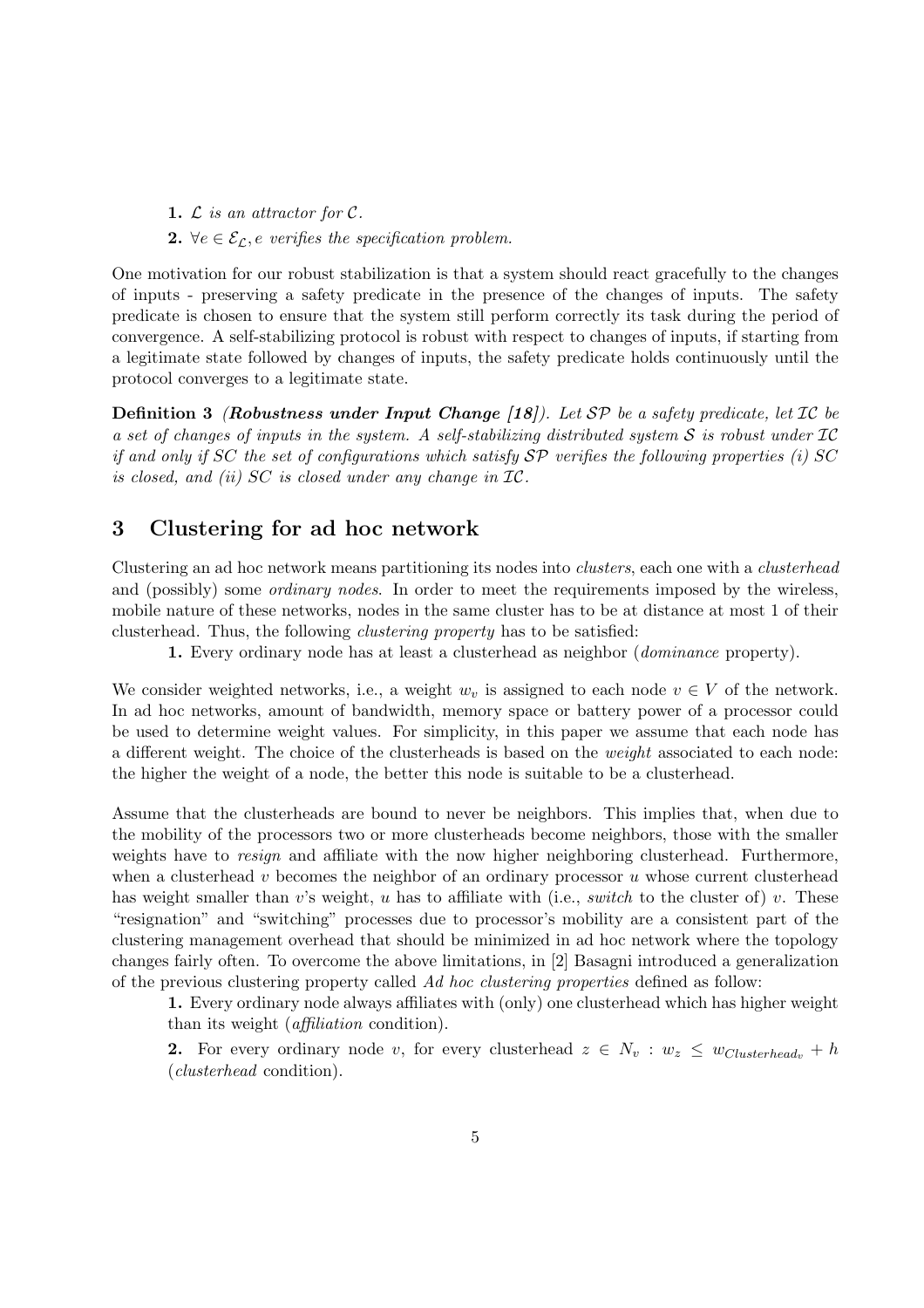1.  $\mathcal L$  is an attractor for  $\mathcal C$ .

2.  $\forall e \in \mathcal{E}_{\mathcal{L}}, e$  verifies the specification problem.

One motivation for our robust stabilization is that a system should react gracefully to the changes of inputs - preserving a safety predicate in the presence of the changes of inputs. The safety predicate is chosen to ensure that the system still perform correctly its task during the period of convergence. A self-stabilizing protocol is robust with respect to changes of inputs, if starting from a legitimate state followed by changes of inputs, the safety predicate holds continuously until the protocol converges to a legitimate state.

**Definition 3** (Robustness under Input Change [18]). Let  $SP$  be a safety predicate, let  $IC$  be a set of changes of inputs in the system. A self-stabilizing distributed system S is robust under  $IC$ if and only if SC the set of configurations which satisfy  $\mathcal{SP}$  verifies the following properties (i) SC is closed, and (ii) SC is closed under any change in IC.

# 3 Clustering for ad hoc network

Clustering an ad hoc network means partitioning its nodes into clusters, each one with a clusterhead and (possibly) some *ordinary nodes*. In order to meet the requirements imposed by the wireless, mobile nature of these networks, nodes in the same cluster has to be at distance at most 1 of their clusterhead. Thus, the following clustering property has to be satisfied:

1. Every ordinary node has at least a clusterhead as neighbor (dominance property).

We consider weighted networks, i.e., a weight  $w<sub>v</sub>$  is assigned to each node  $v \in V$  of the network. In ad hoc networks, amount of bandwidth, memory space or battery power of a processor could be used to determine weight values. For simplicity, in this paper we assume that each node has a different weight. The choice of the clusterheads is based on the weight associated to each node: the higher the weight of a node, the better this node is suitable to be a clusterhead.

Assume that the clusterheads are bound to never be neighbors. This implies that, when due to the mobility of the processors two or more clusterheads become neighbors, those with the smaller weights have to *resign* and affiliate with the now higher neighboring clusterhead. Furthermore, when a clusterhead v becomes the neighbor of an ordinary processor  $u$  whose current clusterhead has weight smaller than v's weight, u has to affiliate with (i.e., *switch* to the cluster of) v. These "resignation" and "switching" processes due to processor's mobility are a consistent part of the clustering management overhead that should be minimized in ad hoc network where the topology changes fairly often. To overcome the above limitations, in [2] Basagni introduced a generalization of the previous clustering property called Ad hoc clustering properties defined as follow:

1. Every ordinary node always affiliates with (only) one clusterhead which has higher weight than its weight (affiliation condition).

2. For every ordinary node v, for every clusterhead  $z \in N_v : w_z \leq w_{Clusterhead_v} + h$ (clusterhead condition).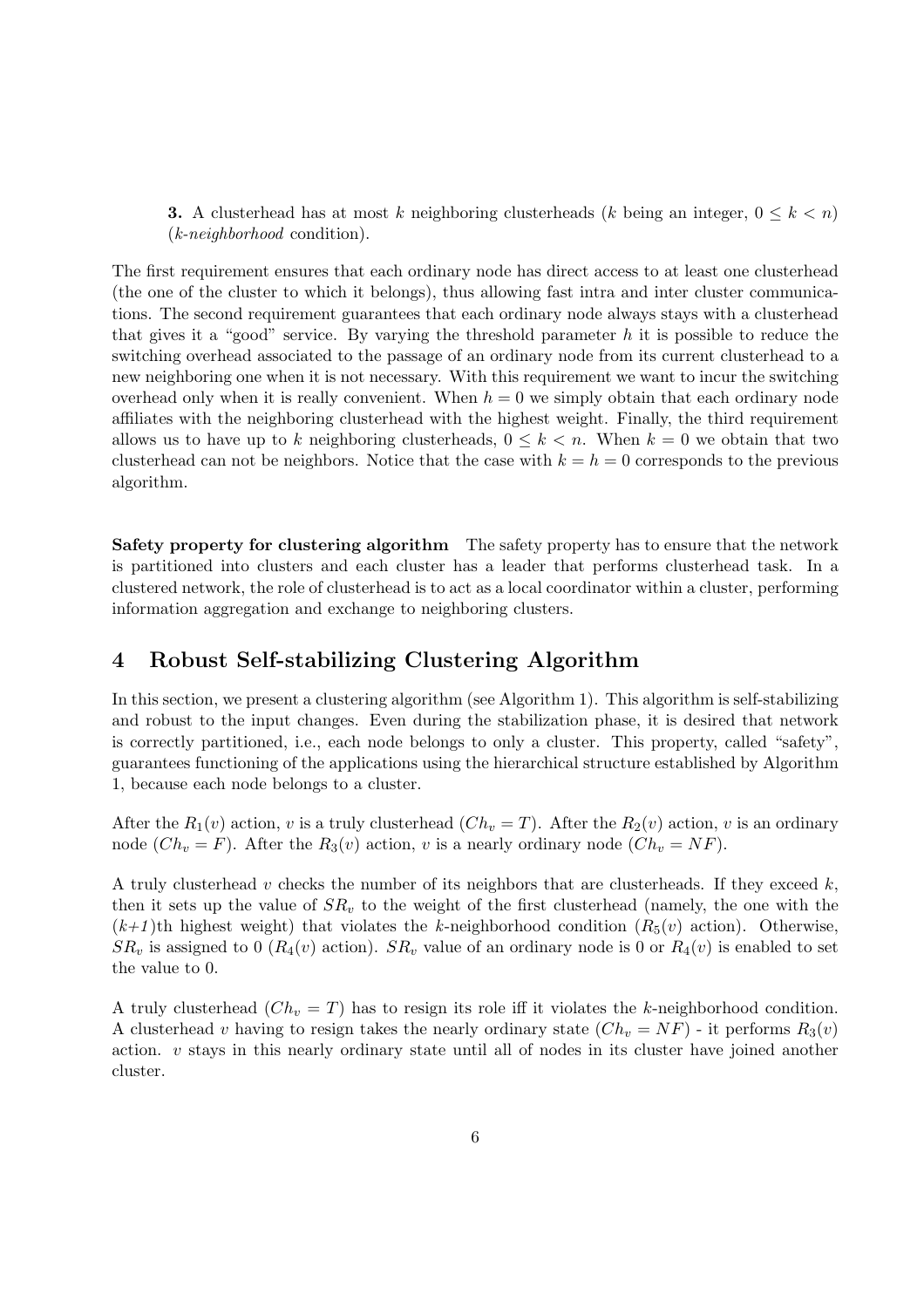**3.** A clusterhead has at most k neighboring clusterheads (k being an integer,  $0 \leq k \leq n$ ) (k-neighborhood condition).

The first requirement ensures that each ordinary node has direct access to at least one clusterhead (the one of the cluster to which it belongs), thus allowing fast intra and inter cluster communications. The second requirement guarantees that each ordinary node always stays with a clusterhead that gives it a "good" service. By varying the threshold parameter h it is possible to reduce the switching overhead associated to the passage of an ordinary node from its current clusterhead to a new neighboring one when it is not necessary. With this requirement we want to incur the switching overhead only when it is really convenient. When  $h = 0$  we simply obtain that each ordinary node affiliates with the neighboring clusterhead with the highest weight. Finally, the third requirement allows us to have up to k neighboring clusterheads,  $0 \leq k \leq n$ . When  $k = 0$  we obtain that two clusterhead can not be neighbors. Notice that the case with  $k = h = 0$  corresponds to the previous algorithm.

Safety property for clustering algorithm The safety property has to ensure that the network is partitioned into clusters and each cluster has a leader that performs clusterhead task. In a clustered network, the role of clusterhead is to act as a local coordinator within a cluster, performing information aggregation and exchange to neighboring clusters.

### 4 Robust Self-stabilizing Clustering Algorithm

In this section, we present a clustering algorithm (see Algorithm 1). This algorithm is self-stabilizing and robust to the input changes. Even during the stabilization phase, it is desired that network is correctly partitioned, i.e., each node belongs to only a cluster. This property, called "safety", guarantees functioning of the applications using the hierarchical structure established by Algorithm 1, because each node belongs to a cluster.

After the  $R_1(v)$  action, v is a truly clusterhead  $(Ch_v = T)$ . After the  $R_2(v)$  action, v is an ordinary node  $(Ch_v = F)$ . After the  $R_3(v)$  action, v is a nearly ordinary node  $(Ch_v = NF)$ .

A truly clusterhead v checks the number of its neighbors that are clusterheads. If they exceed  $k$ , then it sets up the value of  $SR<sub>v</sub>$  to the weight of the first clusterhead (namely, the one with the  $(k+1)$ th highest weight) that violates the k-neighborhood condition  $(R_5(v)$  action). Otherwise,  $SR_v$  is assigned to 0 ( $R_4(v)$  action).  $SR_v$  value of an ordinary node is 0 or  $R_4(v)$  is enabled to set the value to 0.

A truly clusterhead  $(Ch_v = T)$  has to resign its role iff it violates the k-neighborhood condition. A clusterhead v having to resign takes the nearly ordinary state  $(Ch_v = NF)$  - it performs  $R_3(v)$ action.  $v$  stays in this nearly ordinary state until all of nodes in its cluster have joined another cluster.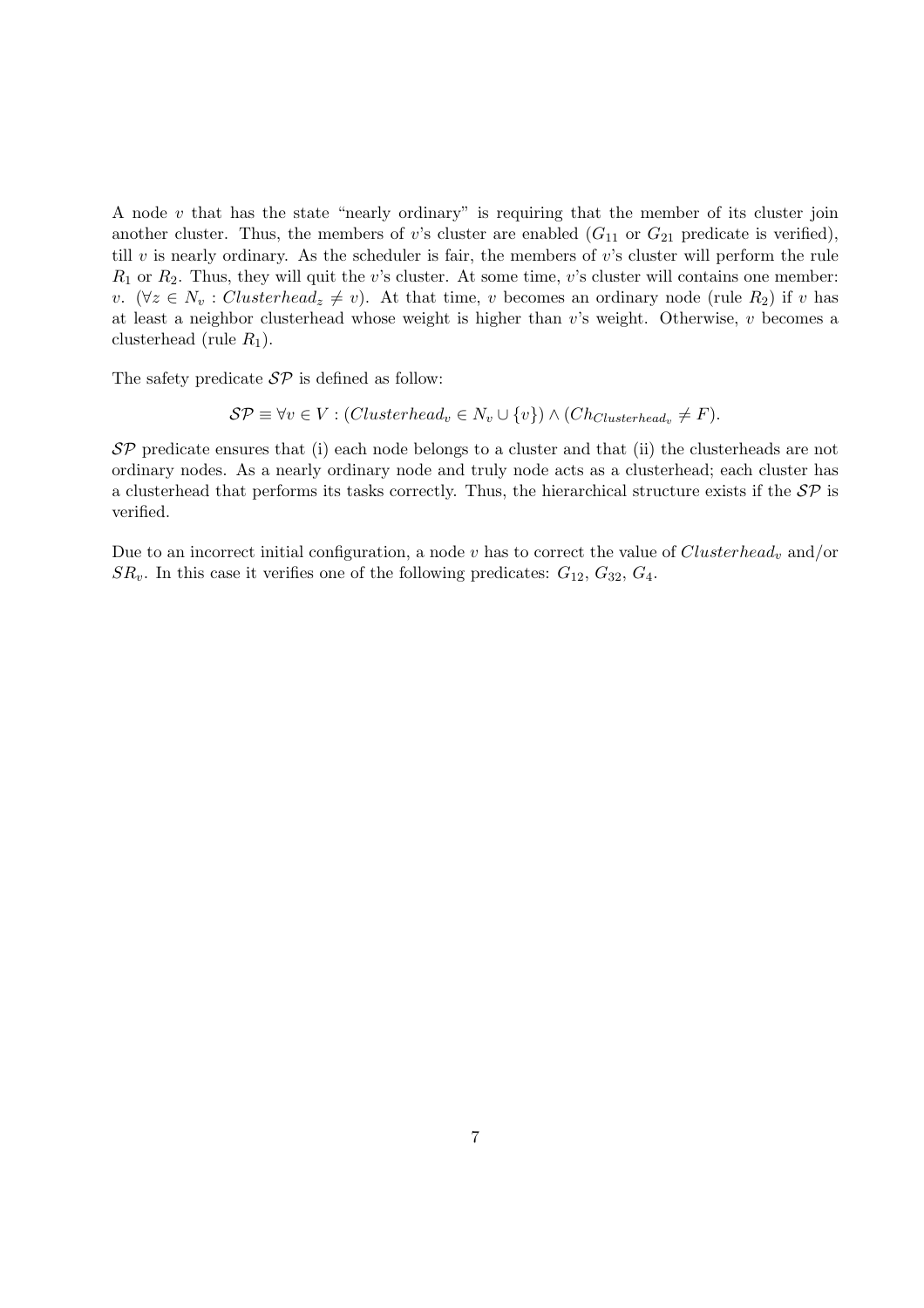A node  $v$  that has the state "nearly ordinary" is requiring that the member of its cluster join another cluster. Thus, the members of v's cluster are enabled  $(G_{11}$  or  $G_{21}$  predicate is verified), till  $v$  is nearly ordinary. As the scheduler is fair, the members of  $v$ 's cluster will perform the rule  $R_1$  or  $R_2$ . Thus, they will quit the v's cluster. At some time, v's cluster will contains one member: v. ( $\forall z \in N_v : Clusterhead_z \neq v$ ). At that time, v becomes an ordinary node (rule R<sub>2</sub>) if v has at least a neighbor clusterhead whose weight is higher than  $v$ 's weight. Otherwise,  $v$  becomes a clusterhead (rule  $R_1$ ).

The safety predicate  $\mathcal{SP}$  is defined as follow:

$$
\mathcal{SP} \equiv \forall v \in V : (Clusterhead_v \in N_v \cup \{v\}) \land (Ch_{Clusterhead_v} \neq F).
$$

 $\mathcal{SP}$  predicate ensures that (i) each node belongs to a cluster and that (ii) the clusterheads are not ordinary nodes. As a nearly ordinary node and truly node acts as a clusterhead; each cluster has a clusterhead that performs its tasks correctly. Thus, the hierarchical structure exists if the  $\mathcal{SP}$  is verified.

Due to an incorrect initial configuration, a node v has to correct the value of  $Clusterhead<sub>v</sub>$  and/or  $SR_v$ . In this case it verifies one of the following predicates:  $G_{12}$ ,  $G_{32}$ ,  $G_4$ .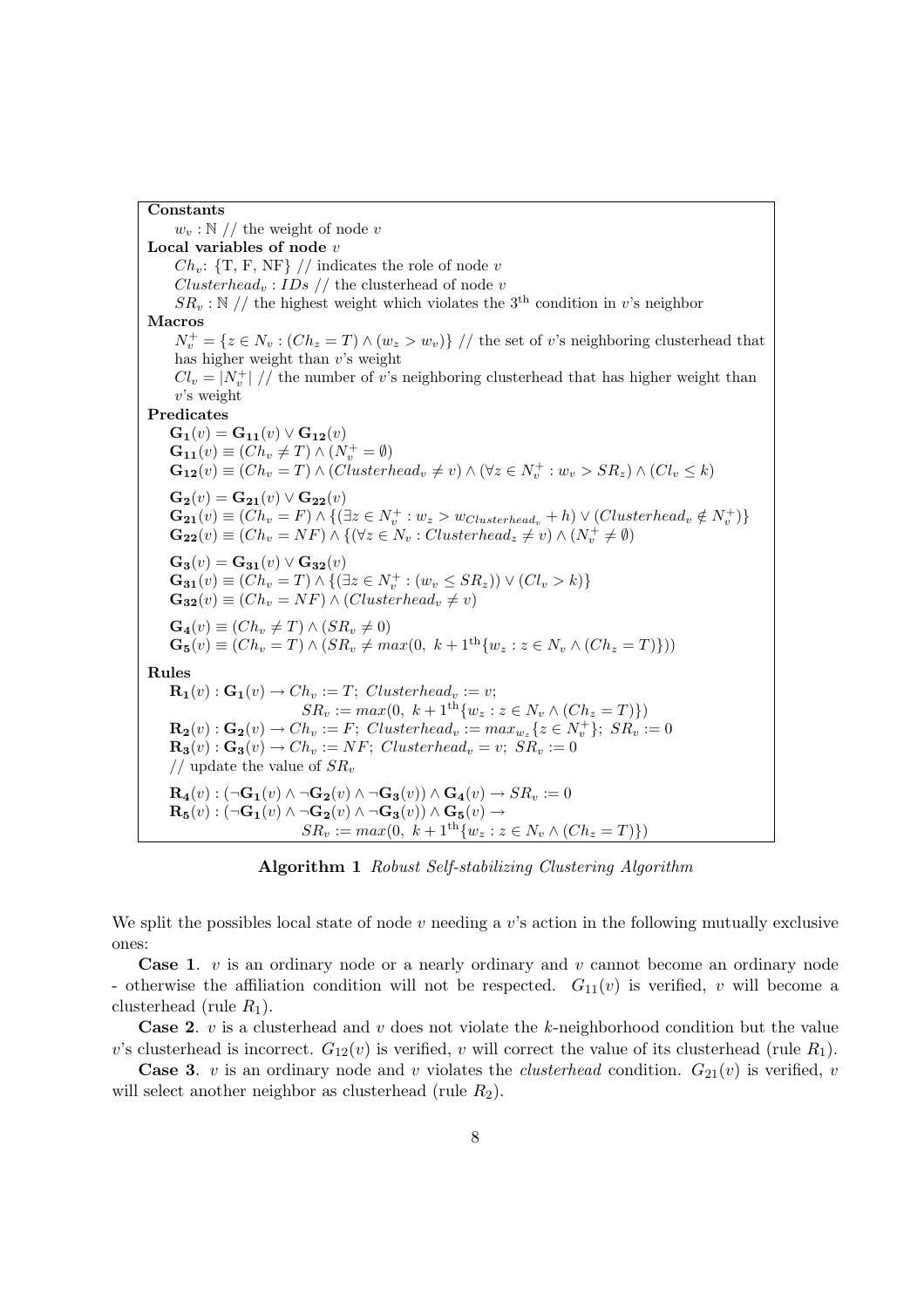#### Constants

 $w_v : \mathbb{N}$  // the weight of node v Local variables of node  $v$  $Ch_v$ : {T, F, NF} // indicates the role of node v  $Clusterhead_v : IDs \t//$  the clusterhead of node v  $SR_v : \mathbb{N}$  // the highest weight which violates the 3<sup>th</sup> condition in v's neighbor Macros  $N_v^+ = \{z \in N_v : (Ch_z = T) \wedge (w_z > w_v)\}$  // the set of v's neighboring clusterhead that has higher weight than  $v$ 's weight  $Cl_v = |N_v^+| / \ell$  the number of v's neighboring clusterhead that has higher weight than  $v$ 's weight Predicates  $G_1(v) = G_{11}(v) \vee G_{12}(v)$  $\mathbf{G_{11}}(v) \equiv (Ch_v \neq T) \wedge (N_v^+ = \emptyset)$  $\mathbf{G_{12}}(v) \equiv (Ch_v = T) \wedge (Clusterhead_v \neq v) \wedge (\forall z \in N_v^+ : w_v > SR_z) \wedge (Cl_v \leq k)$  ${\bf G_2}(v) = {\bf G_{21}}(v) \vee {\bf G_{22}}(v)$  $\mathbf{G_{21}}(v) \equiv (Ch_v = F) \wedge \{(\exists z \in N_v^+ : w_z > w_{Clusterhead_v} + h) \vee (Clusterhead_v \notin N_v^+)\}$  $\mathbf{G_{22}}(v) \equiv (Ch_v = NF) \wedge \{(\forall z \in N_v : Clusterhead_z \neq v) \wedge (N_v^+ \neq \emptyset)$  $\mathbf{G_3}(v) = \mathbf{G_{31}}(v) \vee \mathbf{G_{32}}(v)$  $\mathbf{G_{31}}(v) \equiv (Ch_v = T) \wedge \{ (\exists z \in N_v^+ : (w_v \leq SR_z)) \vee (Cl_v > k) \}$  $\mathbf{G}_{32}(v) \equiv (Ch_v = NF) \wedge (Clusterhead_v \neq v)$  $\mathbf{G}_4(v) \equiv (Ch_v \neq T) \wedge (SR_v \neq 0)$  $\mathbf{G}_5(v) \equiv (Ch_v = T) \wedge (SR_v \neq max(0, k + 1^{\text{th}} \{w_z : z \in N_v \wedge (Ch_z = T)\}))$ Rules  $\mathbf{R_1}(v) : \mathbf{G_1}(v) \to Ch_v := T; \; Clusterhead_v := v;$  $SR_v := max(0, k + 1^{\text{th}} \{w_z : z \in N_v \wedge (Ch_z = T)\})$  $\mathbf{R_2}(v) : \mathbf{G_2}(v) \to Ch_v := F; \; Clustering\_clean_v := max_{w_z} \{z \in N_v^+\}; \; SR_v := 0$  $\mathbf{R}_3(v) : \mathbf{G}_3(v) \to Ch_v := NF; \; Clusterhead_v = v; \; SR_v := 0$ // update the value of  $SR_v$  $\mathbf{R}_4(v) : (\neg \mathbf{G}_1(v) \land \neg \mathbf{G}_2(v) \land \neg \mathbf{G}_3(v)) \land \mathbf{G}_4(v) \rightarrow SR_v := 0$  $\mathbf{R}_{\mathbf{5}}(v) : (\neg \mathbf{G}_{\mathbf{1}}(v) \wedge \neg \mathbf{G}_{\mathbf{2}}(v) \wedge \neg \mathbf{G}_{\mathbf{3}}(v)) \wedge \mathbf{G}_{\mathbf{5}}(v) \rightarrow$  $SR_v := max(0, k + 1^{\text{th}} \{w_z : z \in N_v \wedge (Ch_z = T)\})$ 

Algorithm 1 Robust Self-stabilizing Clustering Algorithm

We split the possibles local state of node v needing a v's action in the following mutually exclusive ones:

**Case 1.**  $v$  is an ordinary node or a nearly ordinary and  $v$  cannot become an ordinary node - otherwise the affiliation condition will not be respected.  $G_{11}(v)$  is verified, v will become a clusterhead (rule  $R_1$ ).

**Case 2.** v is a clusterhead and v does not violate the k-neighborhood condition but the value v's clusterhead is incorrect.  $G_{12}(v)$  is verified, v will correct the value of its clusterhead (rule  $R_1$ ).

**Case 3.** v is an ordinary node and v violates the *clusterhead* condition.  $G_{21}(v)$  is verified, v will select another neighbor as clusterhead (rule  $R_2$ ).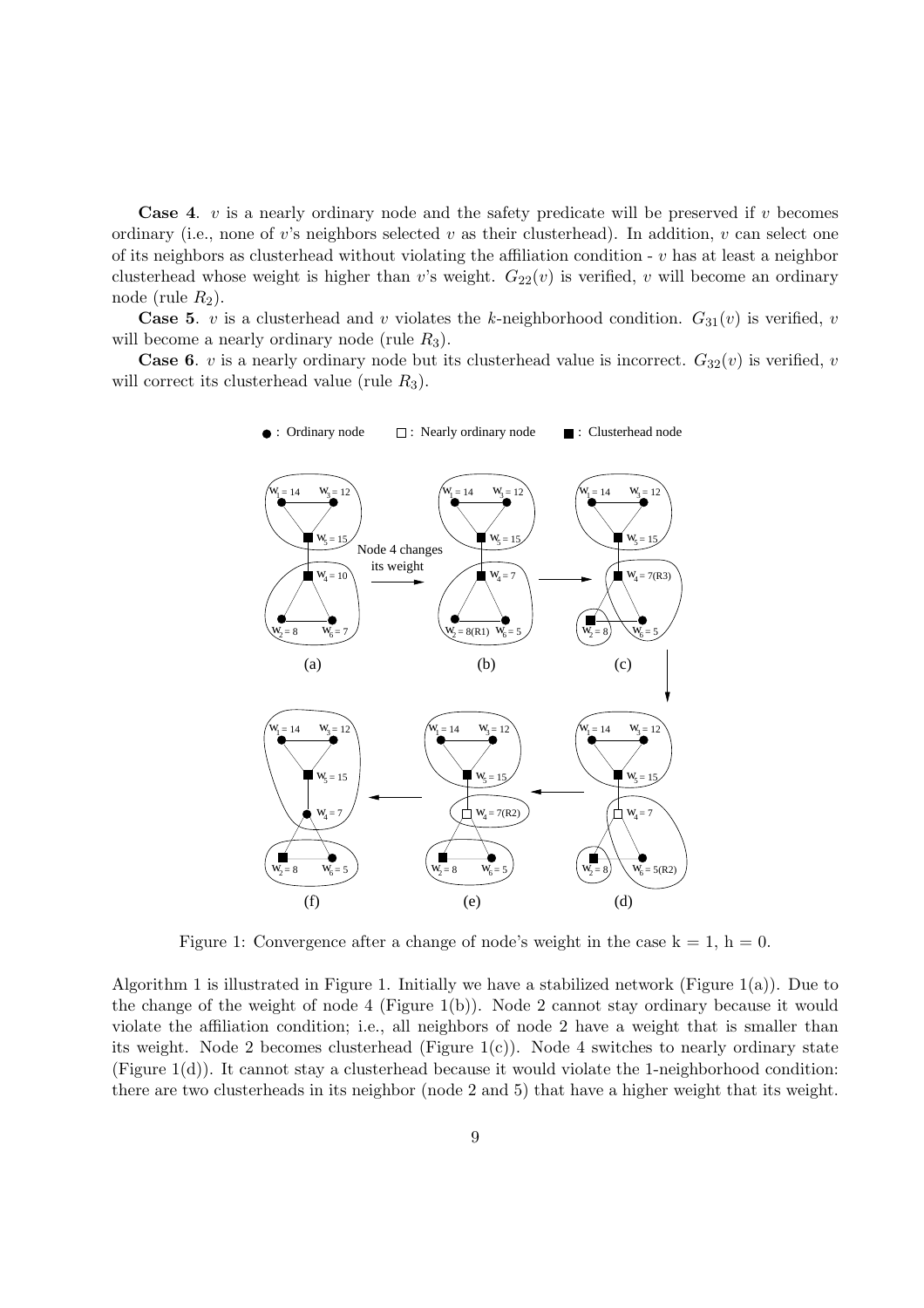**Case 4.** v is a nearly ordinary node and the safety predicate will be preserved if v becomes ordinary (i.e., none of v's neighbors selected v as their clusterhead). In addition, v can select one of its neighbors as clusterhead without violating the affiliation condition  $\overline{\cdot}$  v has at least a neighbor clusterhead whose weight is higher than v's weight.  $G_{22}(v)$  is verified, v will become an ordinary node (rule  $R_2$ ).

**Case 5.** v is a clusterhead and v violates the k-neighborhood condition.  $G_{31}(v)$  is verified, v will become a nearly ordinary node (rule  $R_3$ ).

**Case 6.** v is a nearly ordinary node but its clusterhead value is incorrect.  $G_{32}(v)$  is verified, v will correct its clusterhead value (rule  $R_3$ ).



Figure 1: Convergence after a change of node's weight in the case  $k = 1$ ,  $h = 0$ .

Algorithm 1 is illustrated in Figure 1. Initially we have a stabilized network (Figure 1(a)). Due to the change of the weight of node 4 (Figure 1(b)). Node 2 cannot stay ordinary because it would violate the affiliation condition; i.e., all neighbors of node 2 have a weight that is smaller than its weight. Node 2 becomes clusterhead (Figure  $1(c)$ ). Node 4 switches to nearly ordinary state (Figure  $1(d)$ ). It cannot stay a clusterhead because it would violate the 1-neighborhood condition: there are two clusterheads in its neighbor (node 2 and 5) that have a higher weight that its weight.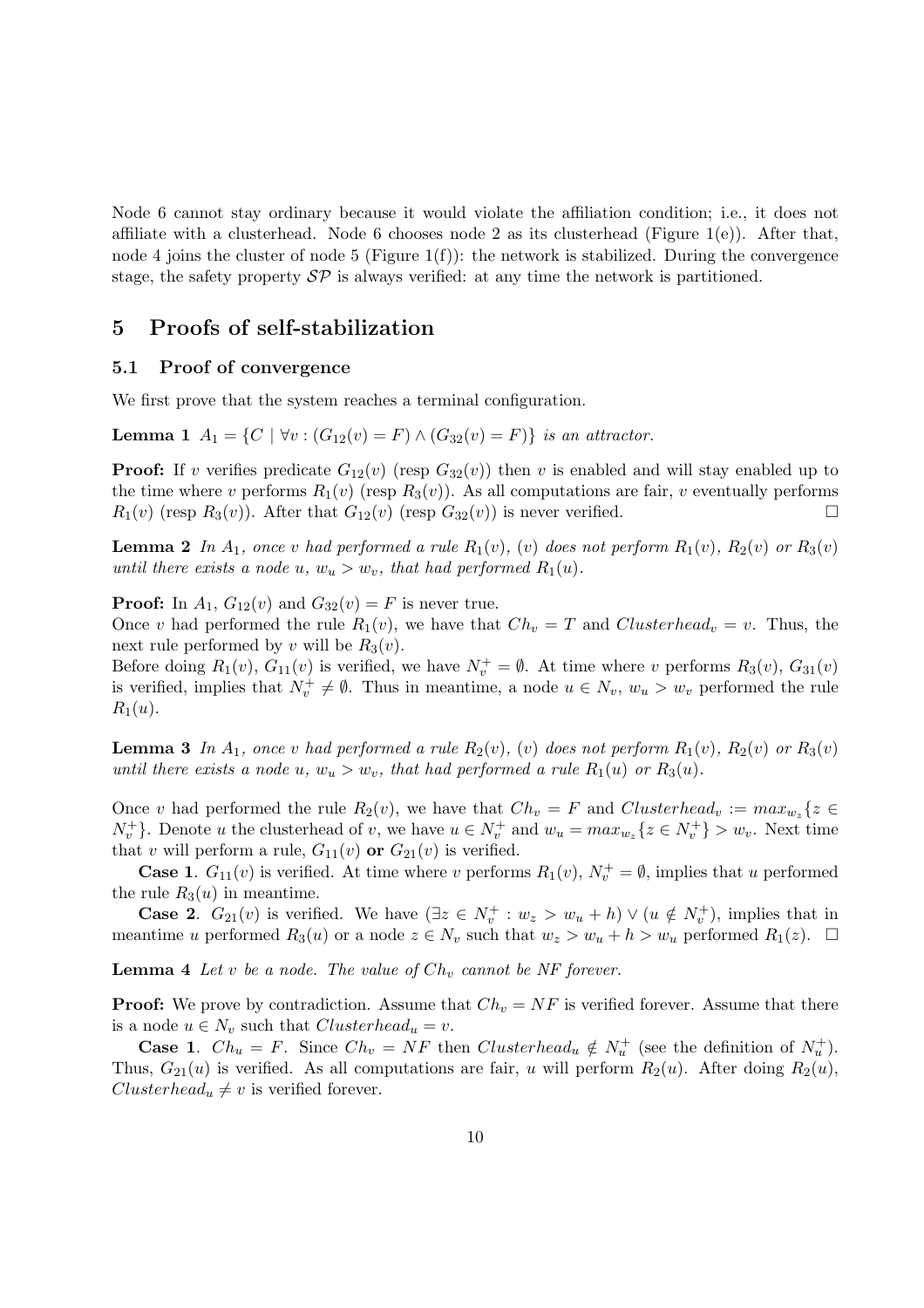Node 6 cannot stay ordinary because it would violate the affiliation condition; i.e., it does not affiliate with a clusterhead. Node 6 chooses node 2 as its clusterhead (Figure 1(e)). After that, node 4 joins the cluster of node 5 (Figure 1(f)): the network is stabilized. During the convergence stage, the safety property  $\mathcal{SP}$  is always verified: at any time the network is partitioned.

#### 5 Proofs of self-stabilization

#### 5.1 Proof of convergence

We first prove that the system reaches a terminal configuration.

Lemma 1  $A_1 = \{C \mid \forall v : (G_{12}(v) = F) \land (G_{32}(v) = F) \}$  is an attractor.

**Proof:** If v verifies predicate  $G_{12}(v)$  (resp  $G_{32}(v)$ ) then v is enabled and will stay enabled up to the time where v performs  $R_1(v)$  (resp  $R_3(v)$ ). As all computations are fair, v eventually performs  $R_1(v)$  (resp  $R_3(v)$ ). After that  $G_{12}(v)$  (resp  $G_{32}(v)$ ) is never verified.

**Lemma 2** In  $A_1$ , once v had performed a rule  $R_1(v)$ , (v) does not perform  $R_1(v)$ ,  $R_2(v)$  or  $R_3(v)$ until there exists a node u,  $w_u > w_v$ , that had performed  $R_1(u)$ .

**Proof:** In  $A_1$ ,  $G_{12}(v)$  and  $G_{32}(v) = F$  is never true.

Once v had performed the rule  $R_1(v)$ , we have that  $Ch_v = T$  and  $Clusterhead_v = v$ . Thus, the next rule performed by v will be  $R_3(v)$ .

Before doing  $R_1(v)$ ,  $G_{11}(v)$  is verified, we have  $N_v^+ = \emptyset$ . At time where v performs  $R_3(v)$ ,  $G_{31}(v)$ is verified, implies that  $N_v^+ \neq \emptyset$ . Thus in meantime, a node  $u \in N_v$ ,  $w_u > w_v$  performed the rule  $R_1(u)$ .

**Lemma 3** In  $A_1$ , once v had performed a rule  $R_2(v)$ , (v) does not perform  $R_1(v)$ ,  $R_2(v)$  or  $R_3(v)$ until there exists a node u,  $w_u > w_v$ , that had performed a rule  $R_1(u)$  or  $R_3(u)$ .

Once v had performed the rule  $R_2(v)$ , we have that  $Ch_v = F$  and  $Clusterhead_v := max_{w_z} \{z \in$  $N_v^+$ . Denote u the clusterhead of v, we have  $u \in N_v^+$  and  $w_u = max_{w_z} \{z \in N_v^+ \} > w_v$ . Next time that v will perform a rule,  $G_{11}(v)$  or  $G_{21}(v)$  is verified.

**Case 1.**  $G_{11}(v)$  is verified. At time where v performs  $R_1(v)$ ,  $N_v^+ = \emptyset$ , implies that u performed the rule  $R_3(u)$  in meantime.

**Case 2.**  $G_{21}(v)$  is verified. We have  $(\exists z \in N_v^+ : w_z > w_u + h) \vee (u \notin N_v^+),$  implies that in meantime u performed  $R_3(u)$  or a node  $z \in N_v$  such that  $w_z > w_u + h > w_u$  performed  $R_1(z)$ .  $\Box$ 

**Lemma 4** Let v be a node. The value of  $Ch_v$  cannot be NF forever.

**Proof:** We prove by contradiction. Assume that  $Ch_v = NF$  is verified forever. Assume that there is a node  $u \in N_v$  such that  $Clusterhead_u = v$ .

**Case 1.**  $Ch_u = F$ . Since  $Ch_v = NF$  then  $Clusterhead_u \notin N_u^+$  (see the definition of  $N_u^+$ ). Thus,  $G_{21}(u)$  is verified. As all computations are fair, u will perform  $R_2(u)$ . After doing  $R_2(u)$ ,  $Clusterhead_u \neq v$  is verified forever.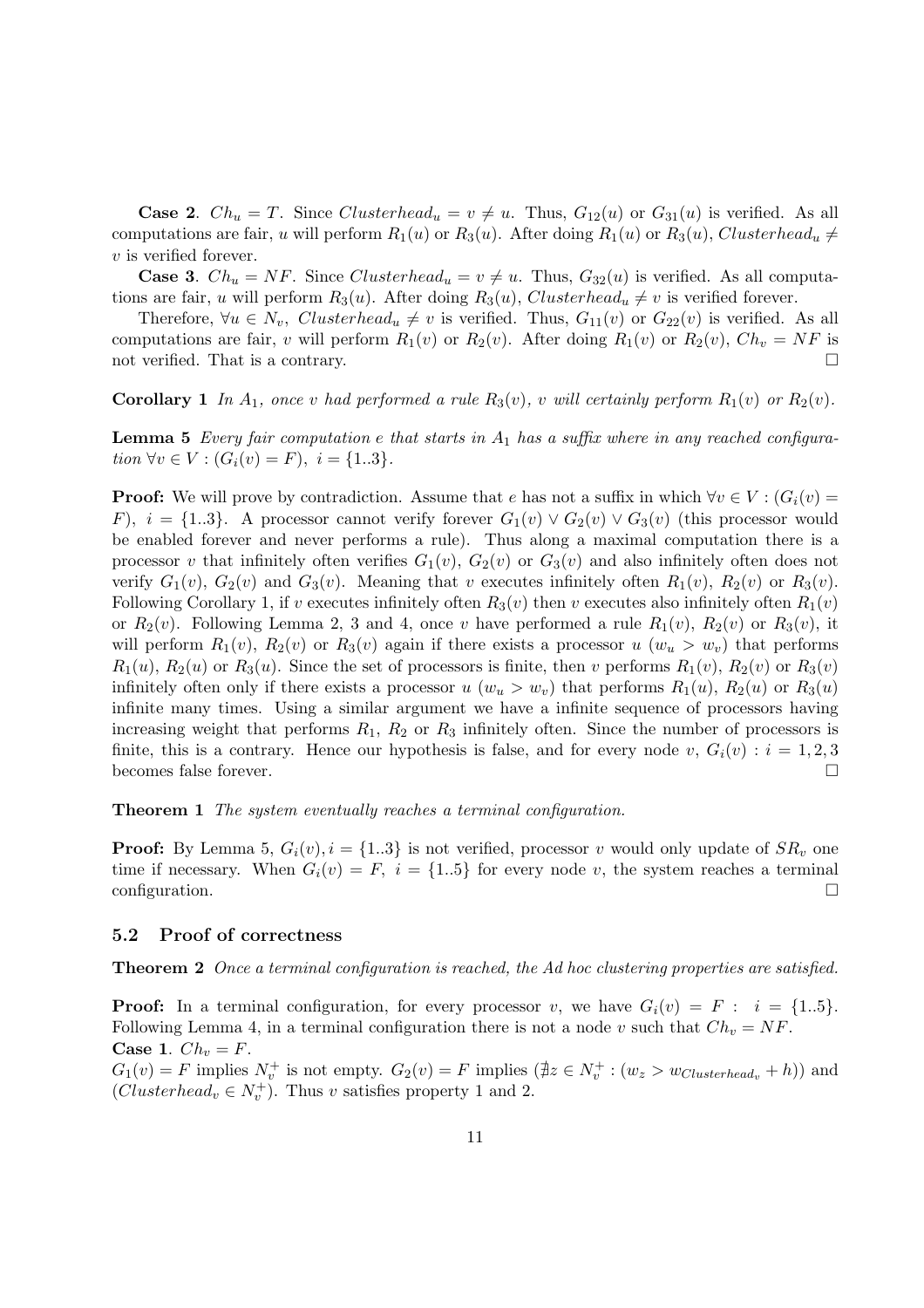**Case 2.**  $Ch_u = T$ . Since  $Clusterhead_u = v \neq u$ . Thus,  $G_{12}(u)$  or  $G_{31}(u)$  is verified. As all computations are fair, u will perform  $R_1(u)$  or  $R_3(u)$ . After doing  $R_1(u)$  or  $R_3(u)$ , Clusterhead<sub>u</sub>  $\neq$ v is verified forever.

**Case 3.**  $Ch_u = NF$ . Since  $Clusterhead_u = v \neq u$ . Thus,  $G_{32}(u)$  is verified. As all computations are fair, u will perform  $R_3(u)$ . After doing  $R_3(u)$ , Clusterhead<sub>u</sub>  $\neq v$  is verified forever.

Therefore,  $\forall u \in N_v$ , Clusterhead<sub>u</sub>  $\neq v$  is verified. Thus,  $G_{11}(v)$  or  $G_{22}(v)$  is verified. As all computations are fair, v will perform  $R_1(v)$  or  $R_2(v)$ . After doing  $R_1(v)$  or  $R_2(v)$ ,  $Ch_v = NF$  is not verified. That is a contrary.

**Corollary 1** In  $A_1$ , once v had performed a rule  $R_3(v)$ , v will certainly perform  $R_1(v)$  or  $R_2(v)$ .

**Lemma 5** Every fair computation e that starts in  $A_1$  has a suffix where in any reached configuration  $\forall v \in V : (G_i(v) = F), i = \{1..3\}.$ 

**Proof:** We will prove by contradiction. Assume that e has not a suffix in which  $\forall v \in V : (G_i(v))$ F),  $i = \{1..3\}$ . A processor cannot verify forever  $G_1(v) \vee G_2(v) \vee G_3(v)$  (this processor would be enabled forever and never performs a rule). Thus along a maximal computation there is a processor v that infinitely often verifies  $G_1(v)$ ,  $G_2(v)$  or  $G_3(v)$  and also infinitely often does not verify  $G_1(v)$ ,  $G_2(v)$  and  $G_3(v)$ . Meaning that v executes infinitely often  $R_1(v)$ ,  $R_2(v)$  or  $R_3(v)$ . Following Corollary 1, if v executes infinitely often  $R_3(v)$  then v executes also infinitely often  $R_1(v)$ or  $R_2(v)$ . Following Lemma 2, 3 and 4, once v have performed a rule  $R_1(v)$ ,  $R_2(v)$  or  $R_3(v)$ , it will perform  $R_1(v)$ ,  $R_2(v)$  or  $R_3(v)$  again if there exists a processor u  $(w_u > w_v)$  that performs  $R_1(u)$ ,  $R_2(u)$  or  $R_3(u)$ . Since the set of processors is finite, then v performs  $R_1(v)$ ,  $R_2(v)$  or  $R_3(v)$ infinitely often only if there exists a processor u  $(w_u > w_v)$  that performs  $R_1(u)$ ,  $R_2(u)$  or  $R_3(u)$ infinite many times. Using a similar argument we have a infinite sequence of processors having increasing weight that performs  $R_1$ ,  $R_2$  or  $R_3$  infinitely often. Since the number of processors is finite, this is a contrary. Hence our hypothesis is false, and for every node v,  $G_i(v) : i = 1, 2, 3$ becomes false forever.

Theorem 1 The system eventually reaches a terminal configuration.

**Proof:** By Lemma 5,  $G_i(v)$ ,  $i = \{1..3\}$  is not verified, processor v would only update of  $SR_v$  one time if necessary. When  $G_i(v) = F$ ,  $i = \{1..5\}$  for every node v, the system reaches a terminal configuration.

#### 5.2 Proof of correctness

Theorem 2 Once a terminal configuration is reached, the Ad hoc clustering properties are satisfied.

**Proof:** In a terminal configuration, for every processor v, we have  $G_i(v) = F : i = \{1..5\}$ . Following Lemma 4, in a terminal configuration there is not a node v such that  $Ch_v = NF$ . Case 1.  $Ch_v = F$ .

 $G_1(v) = F$  implies  $N_v^+$  is not empty.  $G_2(v) = F$  implies  $(\nexists z \in N_v^+ : (w_z > w_{Clusterhead_v} + h))$  and  $(Clusterhead_v \in N_v^+$ ). Thus v satisfies property 1 and 2.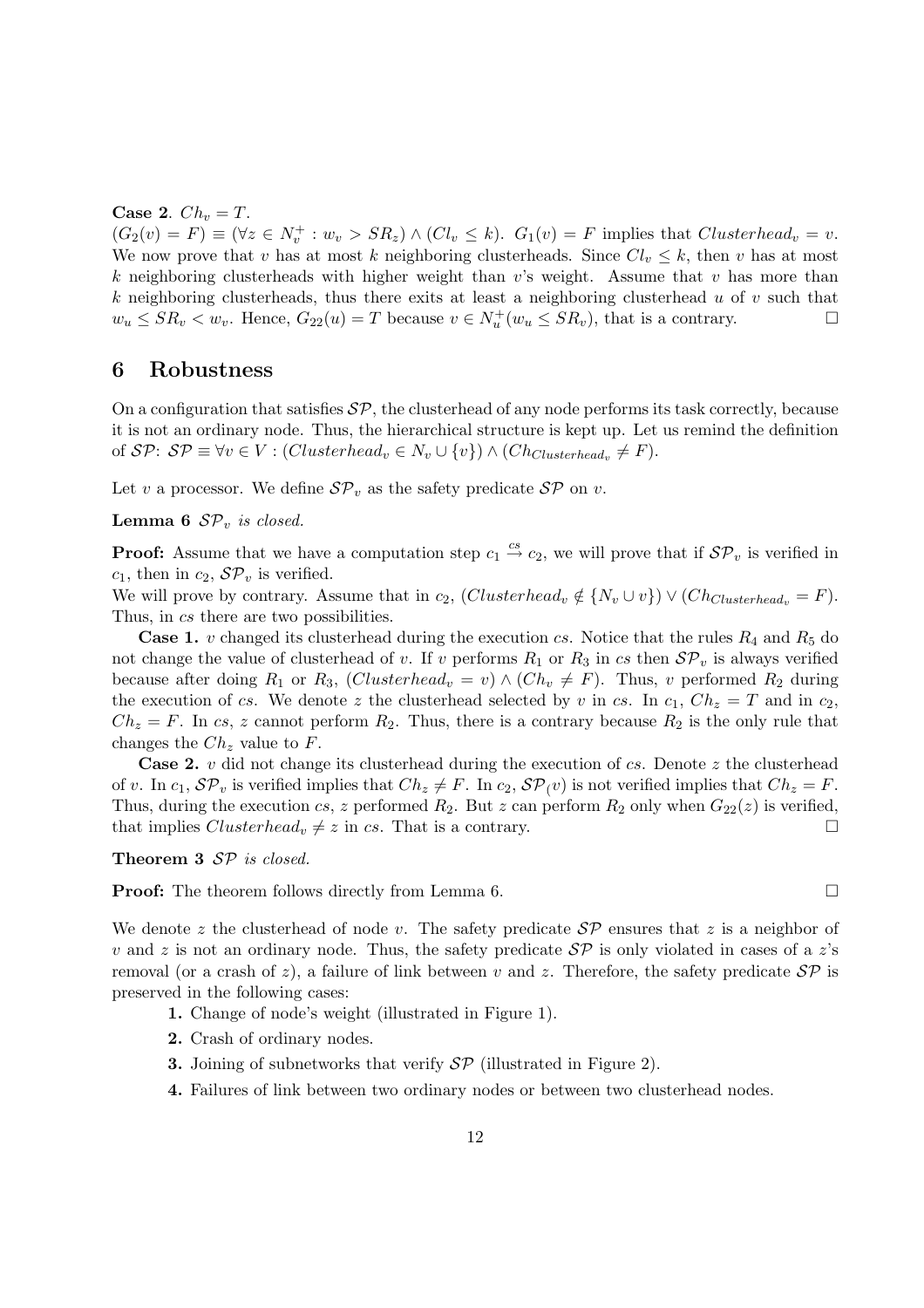Case 2.  $Ch_v = T$ .

 $(G_2(v) = F) \equiv (\forall z \in N_v^+ : w_v > SR_z) \wedge (Cl_v \leq k).$   $G_1(v) = F$  implies that  $Clusterhead_v = v$ . We now prove that v has at most k neighboring clusterheads. Since  $Cl_v \leq k$ , then v has at most k neighboring clusterheads with higher weight than  $v$ 's weight. Assume that v has more than k neighboring clusterheads, thus there exits at least a neighboring clusterhead  $u$  of  $v$  such that  $w_u \le SR_v < w_v$ . Hence,  $G_{22}(u) = T$  because  $v \in N_u^+(w_u \le SR_v)$ , that is a contrary.

#### 6 Robustness

On a configuration that satisfies  $\mathcal{SP}$ , the clusterhead of any node performs its task correctly, because it is not an ordinary node. Thus, the hierarchical structure is kept up. Let us remind the definition of  $\mathcal{SP}: \mathcal{SP} \equiv \forall v \in V : (Clusterhead_v \in N_v \cup \{v\}) \wedge (Ch_{Clusterhead_v} \neq F).$ 

Let v a processor. We define  $\mathcal{SP}_v$  as the safety predicate  $\mathcal{SP}$  on v.

**Lemma 6**  $\mathcal{SP}_v$  is closed.

**Proof:** Assume that we have a computation step  $c_1 \stackrel{cs}{\rightarrow} c_2$ , we will prove that if  $\mathcal{SP}_v$  is verified in  $c_1$ , then in  $c_2$ ,  $\mathcal{SP}_v$  is verified.

We will prove by contrary. Assume that in  $c_2$ ,  $(Clusterhead_v \notin \{N_v \cup v\}) \vee (Ch_{Clusterhead_v} = F)$ . Thus, in cs there are two possibilities.

**Case 1.** v changed its clusterhead during the execution cs. Notice that the rules  $R_4$  and  $R_5$  do not change the value of clusterhead of v. If v performs  $R_1$  or  $R_3$  in cs then  $\mathcal{SP}_v$  is always verified because after doing  $R_1$  or  $R_3$ , (*Clusterhead<sub>v</sub>* = *v*)  $\land$  (*Ch<sub>v</sub>*  $\neq$  *F*). Thus, *v* performed  $R_2$  during the execution of cs. We denote z the clusterhead selected by v in cs. In  $c_1$ ,  $Ch_z = T$  and in  $c_2$ ,  $Ch_z = F$ . In cs, z cannot perform  $R_2$ . Thus, there is a contrary because  $R_2$  is the only rule that changes the  $Ch_z$  value to F.

**Case 2.** v did not change its clusterhead during the execution of cs. Denote z the clusterhead of v. In  $c_1$ ,  $\mathcal{SP}_v$  is verified implies that  $Ch_z \neq F$ . In  $c_2$ ,  $\mathcal{SP}_v(v)$  is not verified implies that  $Ch_z = F$ . Thus, during the execution cs, z performed  $R_2$ . But z can perform  $R_2$  only when  $G_{22}(z)$  is verified, that implies  $Clusterhead_v \neq z$  in cs. That is a contrary.

Theorem 3  $SP$  is closed.

**Proof:** The theorem follows directly from Lemma 6.

We denote z the clusterhead of node v. The safety predicate  $\mathcal{SP}$  ensures that z is a neighbor of v and z is not an ordinary node. Thus, the safety predicate  $\mathcal{SP}$  is only violated in cases of a z's removal (or a crash of z), a failure of link between v and z. Therefore, the safety predicate  $\mathcal{SP}$  is preserved in the following cases:

- 1. Change of node's weight (illustrated in Figure 1).
- 2. Crash of ordinary nodes.
- **3.** Joining of subnetworks that verify  $\mathcal{SP}$  (illustrated in Figure 2).
- 4. Failures of link between two ordinary nodes or between two clusterhead nodes.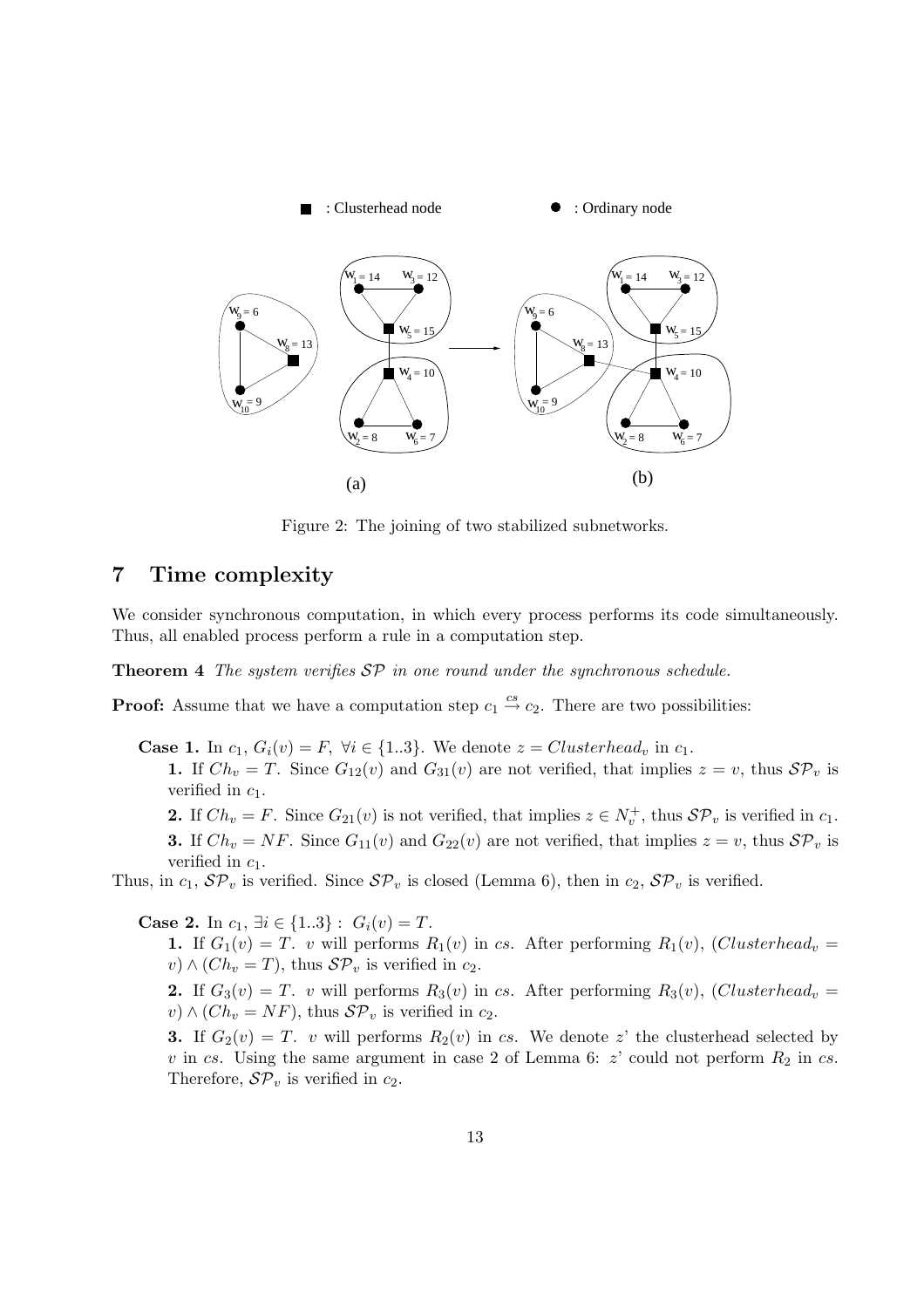

Figure 2: The joining of two stabilized subnetworks.

# 7 Time complexity

We consider synchronous computation, in which every process performs its code simultaneously. Thus, all enabled process perform a rule in a computation step.

**Theorem 4** The system verifies  $SP$  in one round under the synchronous schedule.

**Proof:** Assume that we have a computation step  $c_1 \stackrel{cs}{\rightarrow} c_2$ . There are two possibilities:

**Case 1.** In  $c_1$ ,  $G_i(v) = F$ ,  $\forall i \in \{1..3\}$ . We denote  $z = Clusterhead_v$  in  $c_1$ .

1. If  $Ch_v = T$ . Since  $G_{12}(v)$  and  $G_{31}(v)$  are not verified, that implies  $z = v$ , thus  $\mathcal{SP}_v$  is verified in  $c_1$ .

**2.** If  $Ch_v = F$ . Since  $G_{21}(v)$  is not verified, that implies  $z \in N_v^+$ , thus  $\mathcal{SP}_v$  is verified in  $c_1$ . **3.** If  $Ch_v = NF$ . Since  $G_{11}(v)$  and  $G_{22}(v)$  are not verified, that implies  $z = v$ , thus  $SP_v$  is verified in  $c_1$ .

Thus, in  $c_1$ ,  $\mathcal{SP}_v$  is verified. Since  $\mathcal{SP}_v$  is closed (Lemma 6), then in  $c_2$ ,  $\mathcal{SP}_v$  is verified.

Case 2. In  $c_1$ ,  $\exists i \in \{1..3\} : G_i(v) = T$ .

1. If  $G_1(v) = T$ , v will performs  $R_1(v)$  in cs. After performing  $R_1(v)$ , (Clusterhead<sub>v</sub> = v)  $\wedge$  (Ch<sub>v</sub> = T), thus  $\mathcal{SP}_v$  is verified in c<sub>2</sub>.

2. If  $G_3(v) = T$ . v will performs  $R_3(v)$  in cs. After performing  $R_3(v)$ , (Clusterhead<sub>v</sub> =  $v) \wedge (Ch_v = NF)$ , thus  $\mathcal{SP}_v$  is verified in  $c_2$ .

3. If  $G_2(v) = T$ , v will performs  $R_2(v)$  in cs. We denote z' the clusterhead selected by v in cs. Using the same argument in case 2 of Lemma 6:  $z'$  could not perform  $R_2$  in cs. Therefore,  $\mathcal{SP}_v$  is verified in  $c_2$ .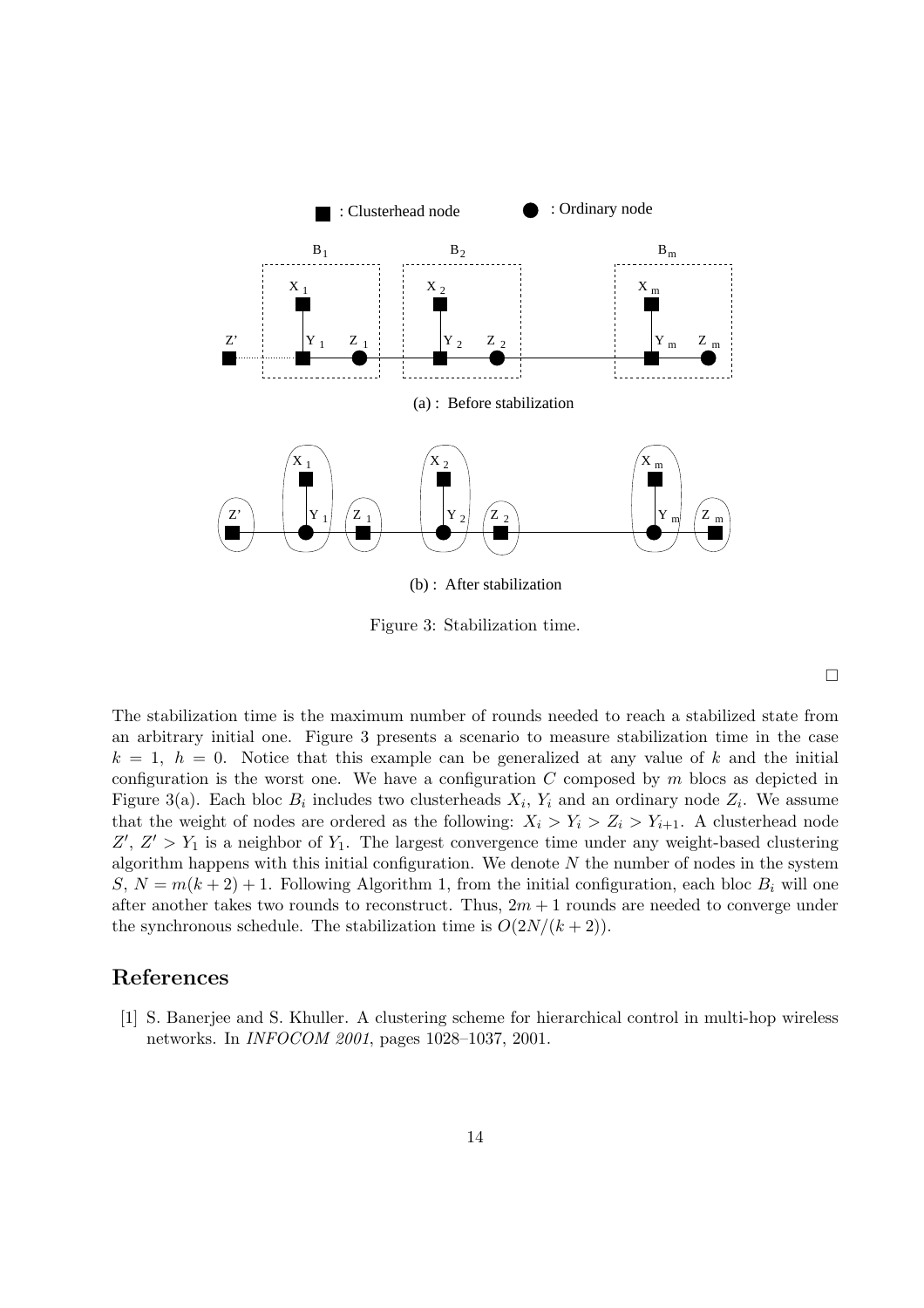

Figure 3: Stabilization time.

 $\Box$ 

The stabilization time is the maximum number of rounds needed to reach a stabilized state from an arbitrary initial one. Figure 3 presents a scenario to measure stabilization time in the case  $k = 1, h = 0$ . Notice that this example can be generalized at any value of k and the initial configuration is the worst one. We have a configuration  $C$  composed by  $m$  blocs as depicted in Figure 3(a). Each bloc  $B_i$  includes two clusterheads  $X_i$ ,  $Y_i$  and an ordinary node  $Z_i$ . We assume that the weight of nodes are ordered as the following:  $X_i > Y_i > Z_i > Y_{i+1}$ . A clusterhead node  $Z'$ ,  $Z' > Y_1$  is a neighbor of  $Y_1$ . The largest convergence time under any weight-based clustering algorithm happens with this initial configuration. We denote  $N$  the number of nodes in the system  $S, N = m(k+2) + 1$ . Following Algorithm 1, from the initial configuration, each bloc  $B_i$  will one after another takes two rounds to reconstruct. Thus,  $2m + 1$  rounds are needed to converge under the synchronous schedule. The stabilization time is  $O(2N/(k+2))$ .

# References

[1] S. Banerjee and S. Khuller. A clustering scheme for hierarchical control in multi-hop wireless networks. In INFOCOM 2001, pages 1028–1037, 2001.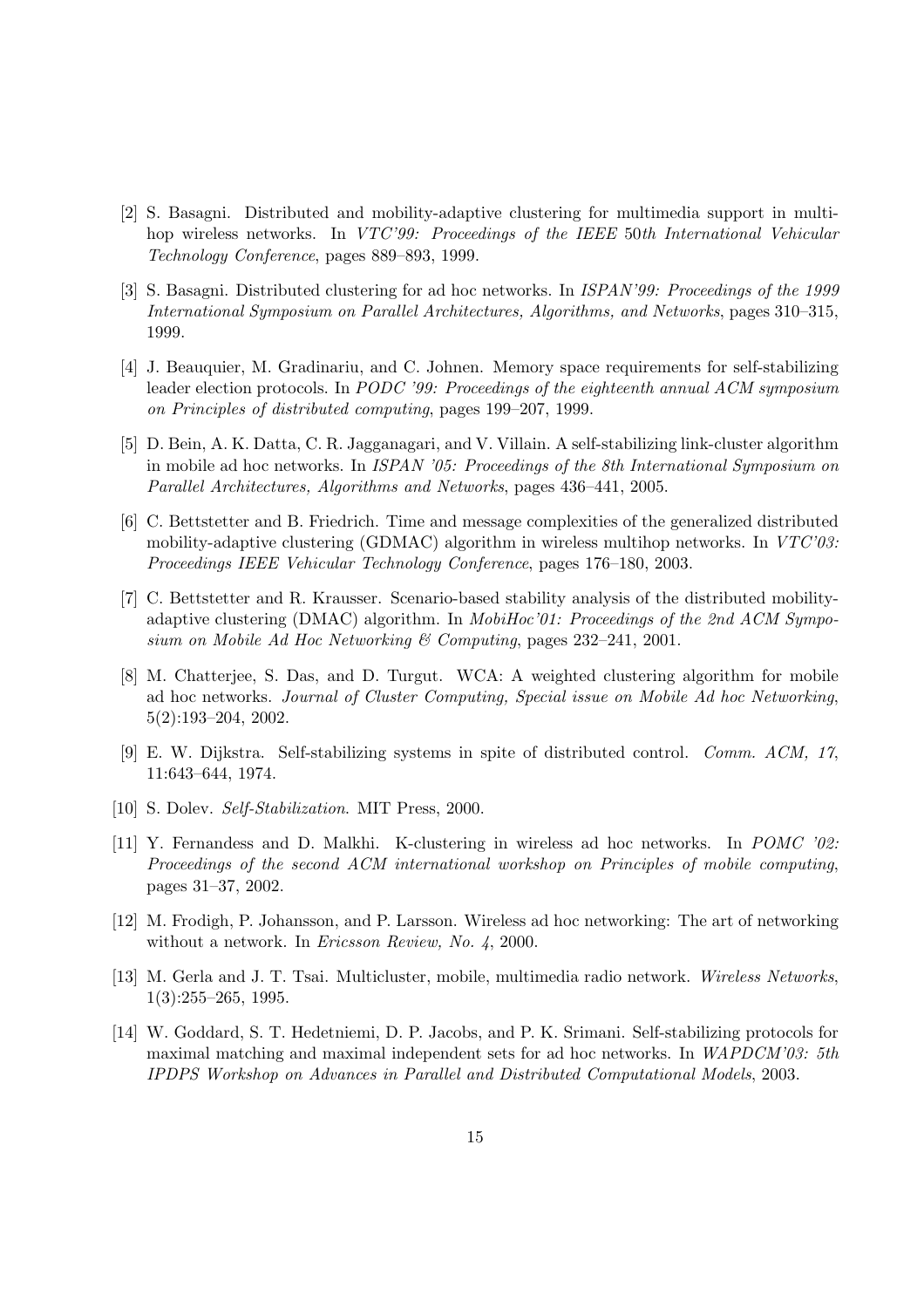- [2] S. Basagni. Distributed and mobility-adaptive clustering for multimedia support in multihop wireless networks. In VTC'99: Proceedings of the IEEE 50th International Vehicular Technology Conference, pages 889–893, 1999.
- [3] S. Basagni. Distributed clustering for ad hoc networks. In ISPAN'99: Proceedings of the 1999 International Symposium on Parallel Architectures, Algorithms, and Networks, pages 310–315, 1999.
- [4] J. Beauquier, M. Gradinariu, and C. Johnen. Memory space requirements for self-stabilizing leader election protocols. In PODC '99: Proceedings of the eighteenth annual ACM symposium on Principles of distributed computing, pages 199–207, 1999.
- [5] D. Bein, A. K. Datta, C. R. Jagganagari, and V. Villain. A self-stabilizing link-cluster algorithm in mobile ad hoc networks. In ISPAN '05: Proceedings of the 8th International Symposium on Parallel Architectures, Algorithms and Networks, pages 436–441, 2005.
- [6] C. Bettstetter and B. Friedrich. Time and message complexities of the generalized distributed mobility-adaptive clustering (GDMAC) algorithm in wireless multihop networks. In  $VTC'03$ : Proceedings IEEE Vehicular Technology Conference, pages 176–180, 2003.
- [7] C. Bettstetter and R. Krausser. Scenario-based stability analysis of the distributed mobilityadaptive clustering (DMAC) algorithm. In *MobiHoc'01: Proceedings of the 2nd ACM Sympo*sium on Mobile Ad Hoc Networking & Computing, pages 232–241, 2001.
- [8] M. Chatterjee, S. Das, and D. Turgut. WCA: A weighted clustering algorithm for mobile ad hoc networks. Journal of Cluster Computing, Special issue on Mobile Ad hoc Networking, 5(2):193–204, 2002.
- [9] E. W. Dijkstra. Self-stabilizing systems in spite of distributed control. Comm. ACM, 17, 11:643–644, 1974.
- [10] S. Dolev. Self-Stabilization. MIT Press, 2000.
- [11] Y. Fernandess and D. Malkhi. K-clustering in wireless ad hoc networks. In POMC '02: Proceedings of the second ACM international workshop on Principles of mobile computing, pages 31–37, 2002.
- [12] M. Frodigh, P. Johansson, and P. Larsson. Wireless ad hoc networking: The art of networking without a network. In *Ericsson Review*, *No.* 4, 2000.
- [13] M. Gerla and J. T. Tsai. Multicluster, mobile, multimedia radio network. Wireless Networks, 1(3):255–265, 1995.
- [14] W. Goddard, S. T. Hedetniemi, D. P. Jacobs, and P. K. Srimani. Self-stabilizing protocols for maximal matching and maximal independent sets for ad hoc networks. In WAPDCM'03: 5th IPDPS Workshop on Advances in Parallel and Distributed Computational Models, 2003.